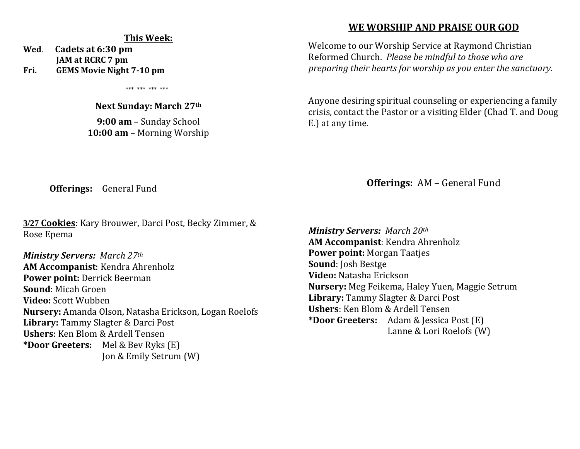#### **This Week:**

**Wed**. **Cadets at 6:30 pm JAM at RCRC 7 pm Fri. GEMS Movie Night 7-10 pm**

\*\*\* \*\*\* \*\*\* \*\*\*

#### **Next Sunday: March 27th**

**9:00 am** – Sunday School **10:00 am** – Morning Worship

# **WE WORSHIP AND PRAISE OUR GOD**

Welcome to our Worship Service at Raymond Christian Reformed Church. *Please be mindful to those who are preparing their hearts for worship as you enter the sanctuary.*

Anyone desiring spiritual counseling or experiencing a family crisis, contact the Pastor or a visiting Elder (Chad T. and Doug E.) at any time.

**Offerings:** General Fund

**3/27 Cookies**: Kary Brouwer, Darci Post, Becky Zimmer, & Rose Epema

*Ministry Servers: March 27th*  **AM Accompanist**: Kendra Ahrenholz **Power point:** Derrick Beerman **Sound**: Micah Groen **Video:** Scott Wubben **Nursery:** Amanda Olson, Natasha Erickson, Logan Roelofs **Library:** Tammy Slagter & Darci Post **Ushers**: Ken Blom & Ardell Tensen **\*Door Greeters:** Mel & Bev Ryks (E) Jon & Emily Setrum (W)

**Offerings:** AM – General Fund

*Ministry Servers: March 20th*  **AM Accompanist**: Kendra Ahrenholz **Power point:** Morgan Taatjes **Sound**: Josh Bestge **Video:** Natasha Erickson **Nursery:** Meg Feikema, Haley Yuen, Maggie Setrum **Library:** Tammy Slagter & Darci Post **Ushers**: Ken Blom & Ardell Tensen **\*Door Greeters:** Adam & Jessica Post (E) Lanne & Lori Roelofs (W)